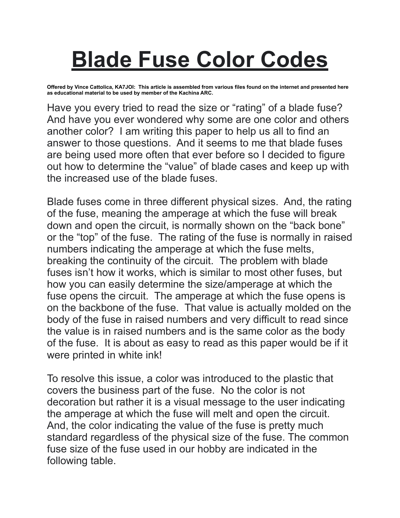## **Blade Fuse Color Codes**

**Offered by Vince Cattolica, KA7JOI: This article is assembled from various files found on the internet and presented here as educational material to be used by member of the Kachina ARC.** 

Have you every tried to read the size or "rating" of a blade fuse? And have you ever wondered why some are one color and others another color? I am writing this paper to help us all to find an answer to those questions. And it seems to me that blade fuses are being used more often that ever before so I decided to figure out how to determine the "value" of blade cases and keep up with the increased use of the blade fuses.

Blade fuses come in three different physical sizes. And, the rating of the fuse, meaning the amperage at which the fuse will break down and open the circuit, is normally shown on the "back bone" or the "top" of the fuse. The rating of the fuse is normally in raised numbers indicating the amperage at which the fuse melts, breaking the continuity of the circuit. The problem with blade fuses isn't how it works, which is similar to most other fuses, but how you can easily determine the size/amperage at which the fuse opens the circuit. The amperage at which the fuse opens is on the backbone of the fuse. That value is actually molded on the body of the fuse in raised numbers and very difficult to read since the value is in raised numbers and is the same color as the body of the fuse. It is about as easy to read as this paper would be if it were printed in white ink!

To resolve this issue, a color was introduced to the plastic that covers the business part of the fuse. No the color is not decoration but rather it is a visual message to the user indicating the amperage at which the fuse will melt and open the circuit. And, the color indicating the value of the fuse is pretty much standard regardless of the physical size of the fuse. The common fuse size of the fuse used in our hobby are indicated in the following table.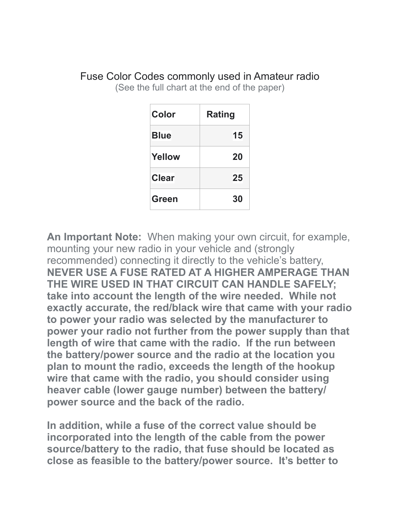| Color         | Rating |
|---------------|--------|
| <b>Blue</b>   | 15     |
| <b>Yellow</b> | 20     |
| <b>Clear</b>  | 25     |
| Green         | 30     |

Fuse Color Codes commonly used in Amateur radio (See the full chart at the end of the paper)

**An Important Note:** When making your own circuit, for example, mounting your new radio in your vehicle and (strongly recommended) connecting it directly to the vehicle's battery, **NEVER USE A FUSE RATED AT A HIGHER AMPERAGE THAN THE WIRE USED IN THAT CIRCUIT CAN HANDLE SAFELY; take into account the length of the wire needed. While not exactly accurate, the red/black wire that came with your radio to power your radio was selected by the manufacturer to power your radio not further from the power supply than that length of wire that came with the radio. If the run between the battery/power source and the radio at the location you plan to mount the radio, exceeds the length of the hookup wire that came with the radio, you should consider using heaver cable (lower gauge number) between the battery/ power source and the back of the radio.**

**In addition, while a fuse of the correct value should be incorporated into the length of the cable from the power source/battery to the radio, that fuse should be located as close as feasible to the battery/power source. It's better to**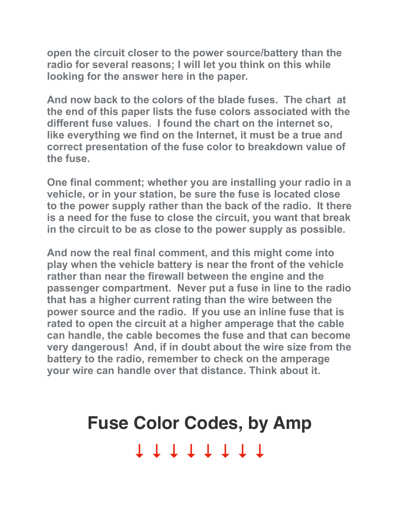**open the circuit closer to the power source/battery than the radio for several reasons; I will let you think on this while looking for the answer here in the paper.**

**And now back to the colors of the blade fuses. The chart at the end of this paper lists the fuse colors associated with the different fuse values. I found the chart on the internet so, like everything we find on the Internet, it must be a true and correct presentation of the fuse color to breakdown value of the fuse.** 

**One final comment; whether you are installing your radio in a vehicle, or in your station, be sure the fuse is located close to the power supply rather than the back of the radio. It there is a need for the fuse to close the circuit, you want that break in the circuit to be as close to the power supply as possible.** 

**And now the real final comment, and this might come into play when the vehicle battery is near the front of the vehicle rather than near the firewall between the engine and the passenger compartment. Never put a fuse in line to the radio that has a higher current rating than the wire between the power source and the radio. If you use an inline fuse that is rated to open the circuit at a higher amperage that the cable can handle, the cable becomes the fuse and that can become very dangerous! And, if in doubt about the wire size from the battery to the radio, remember to check on the amperage your wire can handle over that distance. Think about it.** 

## **Fuse Color Codes, by Amp ↓ ↓ ↓ ↓ ↓ ↓ ↓ ↓**